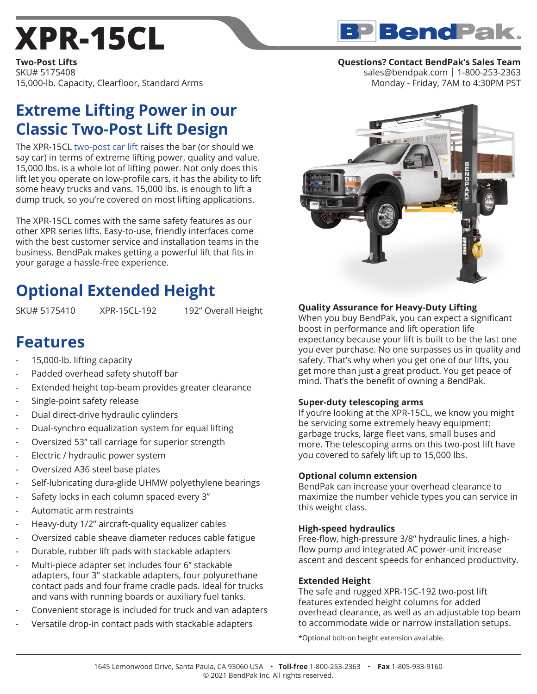# **XPR-15CL**

**Two-Post Lifts** SKU# 5175408 15,000-lb. Capacity, Clearfloor, Standard Arms

## **Extreme Lifting Power in our Classic Two-Post Lift Design**

The XPR-15CL two-post car lift raises the bar (or should we say car) in terms of extreme lifting power, quality and value. 15,000 lbs. is a whole lot of lifting power. Not only does this lift let you operate on low-profile cars, it has the ability to lift some heavy trucks and vans. 15,000 lbs. is enough to lift a dump truck, so you're covered on most lifting applications.

The XPR-15CL comes with the same safety features as our other XPR series lifts. Easy-to-use, friendly interfaces come with the best customer service and installation teams in the business. BendPak makes getting a powerful lift that fits in your garage a hassle-free experience.

# **Optional Extended Height**

SKU# 5175410 XPR-15CL-192 192" Overall Height

### **Features**

- 15,000-lb. lifting capacity
- Padded overhead safety shutoff bar
- Extended height top-beam provides greater clearance
- Single-point safety release
- Dual direct-drive hydraulic cylinders
- Dual-synchro equalization system for equal lifting
- Oversized 53" tall carriage for superior strength
- Electric / hydraulic power system
- Oversized A36 steel base plates
- Self-lubricating dura-glide UHMW polyethylene bearings
- Safety locks in each column spaced every 3"
- Automatic arm restraints
- Heavy-duty 1/2" aircraft-quality equalizer cables
- Oversized cable sheave diameter reduces cable fatigue
- Durable, rubber lift pads with stackable adapters
- Multi-piece adapter set includes four 6" stackable adapters, four 3" stackable adapters, four polyurethane contact pads and four frame cradle pads. Ideal for trucks and vans with running boards or auxiliary fuel tanks.
- Convenient storage is included for truck and van adapters
- Versatile drop-in contact pads with stackable adapters

#### **Questions? Contact BendPak's Sales Team**

sales@bendpak.com | 1-800-253-2363 Monday - Friday, 7AM to 4:30PM PST



#### **Quality Assurance for Heavy-Duty Lifting**

When you buy BendPak, you can expect a significant boost in performance and lift operation life expectancy because your lift is built to be the last one you ever purchase. No one surpasses us in quality and safety. That's why when you get one of our lifts, you get more than just a great product. You get peace of mind. That's the benefit of owning a BendPak.

#### **Super-duty telescoping arms**

If you're looking at the XPR-15CL, we know you might be servicing some extremely heavy equipment: garbage trucks, large fleet vans, small buses and more. The telescoping arms on this two-post lift have you covered to safely lift up to 15,000 lbs.

#### **Optional column extension**

BendPak can increase your overhead clearance to maximize the number vehicle types you can service in this weight class.

#### **High-speed hydraulics**

Free-flow, high-pressure 3/8" hydraulic lines, a highflow pump and integrated AC power-unit increase ascent and descent speeds for enhanced productivity.

#### **Extended Height**

The safe and rugged XPR-15C-192 two-post lift features extended height columns for added overhead clearance, as well as an adjustable top beam to accommodate wide or narrow installation setups.

\*Optional bolt-on height extension available.